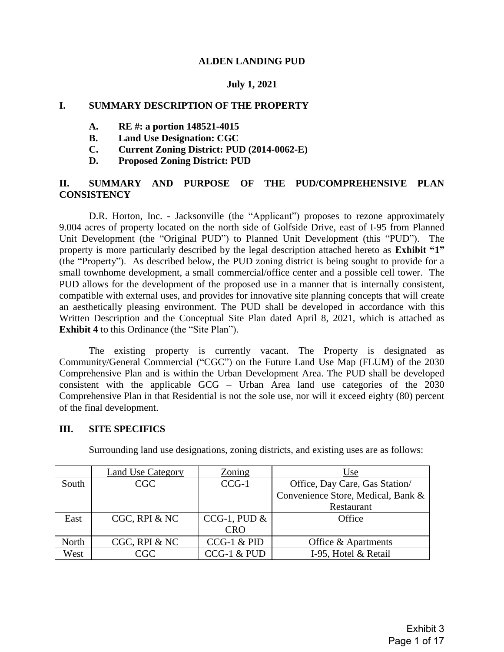#### **ALDEN LANDING PUD**

#### **July 1, 2021**

#### **I. SUMMARY DESCRIPTION OF THE PROPERTY**

- **A. RE #: a portion 148521-4015**
- **B. Land Use Designation: CGC**
- **C. Current Zoning District: PUD (2014-0062-E)**
- **D. Proposed Zoning District: PUD**

## **II. SUMMARY AND PURPOSE OF THE PUD/COMPREHENSIVE PLAN CONSISTENCY**

D.R. Horton, Inc. - Jacksonville (the "Applicant") proposes to rezone approximately 9.004 acres of property located on the north side of Golfside Drive, east of I-95 from Planned Unit Development (the "Original PUD") to Planned Unit Development (this "PUD"). The property is more particularly described by the legal description attached hereto as **Exhibit "1"** (the "Property"). As described below, the PUD zoning district is being sought to provide for a small townhome development, a small commercial/office center and a possible cell tower. The PUD allows for the development of the proposed use in a manner that is internally consistent, compatible with external uses, and provides for innovative site planning concepts that will create an aesthetically pleasing environment. The PUD shall be developed in accordance with this Written Description and the Conceptual Site Plan dated April 8, 2021, which is attached as **Exhibit 4** to this Ordinance (the "Site Plan").

The existing property is currently vacant. The Property is designated as Community/General Commercial ("CGC") on the Future Land Use Map (FLUM) of the 2030 Comprehensive Plan and is within the Urban Development Area. The PUD shall be developed consistent with the applicable GCG – Urban Area land use categories of the 2030 Comprehensive Plan in that Residential is not the sole use, nor will it exceed eighty (80) percent of the final development.

#### **III. SITE SPECIFICS**

|       | <b>Land Use Category</b> | Zoning         | Use                                |
|-------|--------------------------|----------------|------------------------------------|
| South | <b>CGC</b>               | $CCG-1$        | Office, Day Care, Gas Station/     |
|       |                          |                | Convenience Store, Medical, Bank & |
|       |                          |                | Restaurant                         |
| East  | CGC, RPI & NC            | CCG-1, PUD $&$ | Office                             |
|       |                          | <b>CRO</b>     |                                    |
| North | CGC, RPI & NC            | $CCG-1$ & PID  | Office & Apartments                |
| West  | CGC                      | CCG-1 & PUD    | I-95, Hotel & Retail               |

Surrounding land use designations, zoning districts, and existing uses are as follows: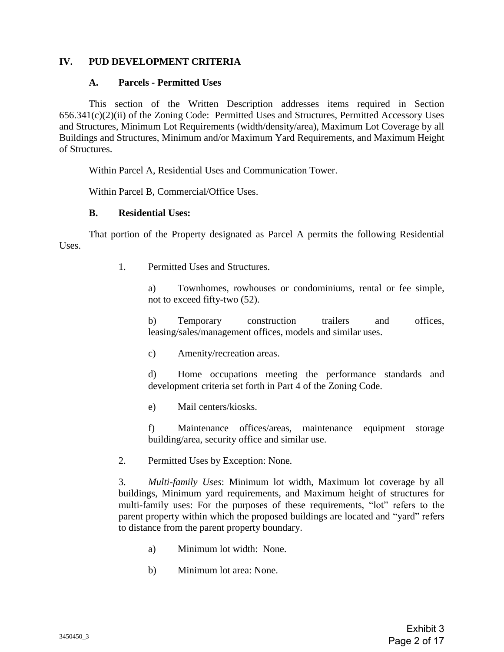## **IV. PUD DEVELOPMENT CRITERIA**

#### **A. Parcels - Permitted Uses**

This section of the Written Description addresses items required in Section 656.341(c)(2)(ii) of the Zoning Code: Permitted Uses and Structures, Permitted Accessory Uses and Structures, Minimum Lot Requirements (width/density/area), Maximum Lot Coverage by all Buildings and Structures, Minimum and/or Maximum Yard Requirements, and Maximum Height of Structures.

Within Parcel A, Residential Uses and Communication Tower.

Within Parcel B, Commercial/Office Uses.

#### **B. Residential Uses:**

That portion of the Property designated as Parcel A permits the following Residential Uses.

1. Permitted Uses and Structures.

a) Townhomes, rowhouses or condominiums, rental or fee simple, not to exceed fifty-two (52).

b) Temporary construction trailers and offices, leasing/sales/management offices, models and similar uses.

c) Amenity/recreation areas.

d) Home occupations meeting the performance standards and development criteria set forth in Part 4 of the Zoning Code.

e) Mail centers/kiosks.

f) Maintenance offices/areas, maintenance equipment storage building/area, security office and similar use.

2. Permitted Uses by Exception: None.

3. *Multi-family Uses*: Minimum lot width, Maximum lot coverage by all buildings, Minimum yard requirements, and Maximum height of structures for multi-family uses: For the purposes of these requirements, "lot" refers to the parent property within which the proposed buildings are located and "yard" refers to distance from the parent property boundary.

- a) Minimum lot width: None.
- b) Minimum lot area: None.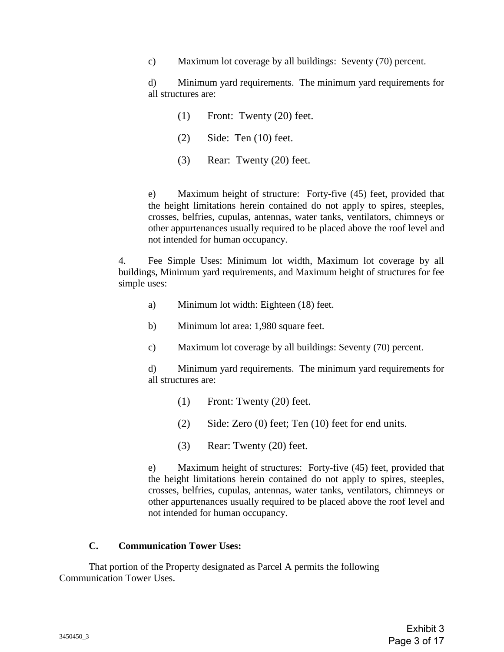c) Maximum lot coverage by all buildings: Seventy (70) percent.

d) Minimum yard requirements. The minimum yard requirements for all structures are:

- (1) Front: Twenty (20) feet.
- (2) Side: Ten (10) feet.
- (3) Rear: Twenty (20) feet.

e) Maximum height of structure: Forty-five (45) feet, provided that the height limitations herein contained do not apply to spires, steeples, crosses, belfries, cupulas, antennas, water tanks, ventilators, chimneys or other appurtenances usually required to be placed above the roof level and not intended for human occupancy.

4. Fee Simple Uses: Minimum lot width, Maximum lot coverage by all buildings, Minimum yard requirements, and Maximum height of structures for fee simple uses:

- a) Minimum lot width: Eighteen (18) feet.
- b) Minimum lot area: 1,980 square feet.
- c) Maximum lot coverage by all buildings: Seventy (70) percent.

d) Minimum yard requirements. The minimum yard requirements for all structures are:

- (1) Front: Twenty (20) feet.
- (2) Side: Zero (0) feet; Ten (10) feet for end units.
- (3) Rear: Twenty (20) feet.

e) Maximum height of structures: Forty-five (45) feet, provided that the height limitations herein contained do not apply to spires, steeples, crosses, belfries, cupulas, antennas, water tanks, ventilators, chimneys or other appurtenances usually required to be placed above the roof level and not intended for human occupancy.

#### **C. Communication Tower Uses:**

That portion of the Property designated as Parcel A permits the following Communication Tower Uses.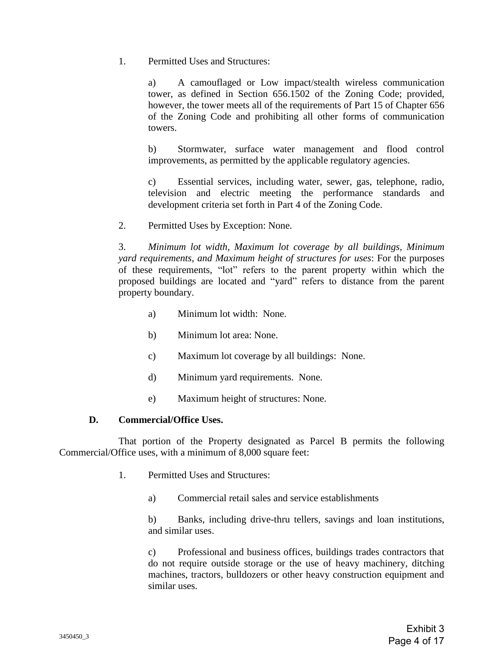1. Permitted Uses and Structures:

a) A camouflaged or Low impact/stealth wireless communication tower, as defined in Section 656.1502 of the Zoning Code; provided, however, the tower meets all of the requirements of Part 15 of Chapter 656 of the Zoning Code and prohibiting all other forms of communication towers.

b) Stormwater, surface water management and flood control improvements, as permitted by the applicable regulatory agencies.

c) Essential services, including water, sewer, gas, telephone, radio, television and electric meeting the performance standards and development criteria set forth in Part 4 of the Zoning Code.

2. Permitted Uses by Exception: None.

3. *Minimum lot width, Maximum lot coverage by all buildings, Minimum yard requirements, and Maximum height of structures for uses*: For the purposes of these requirements, "lot" refers to the parent property within which the proposed buildings are located and "yard" refers to distance from the parent property boundary.

- a) Minimum lot width: None.
- b) Minimum lot area: None.
- c) Maximum lot coverage by all buildings: None.
- d) Minimum yard requirements. None.
- e) Maximum height of structures: None.

#### **D. Commercial/Office Uses.**

That portion of the Property designated as Parcel B permits the following Commercial/Office uses, with a minimum of 8,000 square feet:

- 1. Permitted Uses and Structures:
	- a) Commercial retail sales and service establishments

b) Banks, including drive-thru tellers, savings and loan institutions, and similar uses.

c) Professional and business offices, buildings trades contractors that do not require outside storage or the use of heavy machinery, ditching machines, tractors, bulldozers or other heavy construction equipment and similar uses.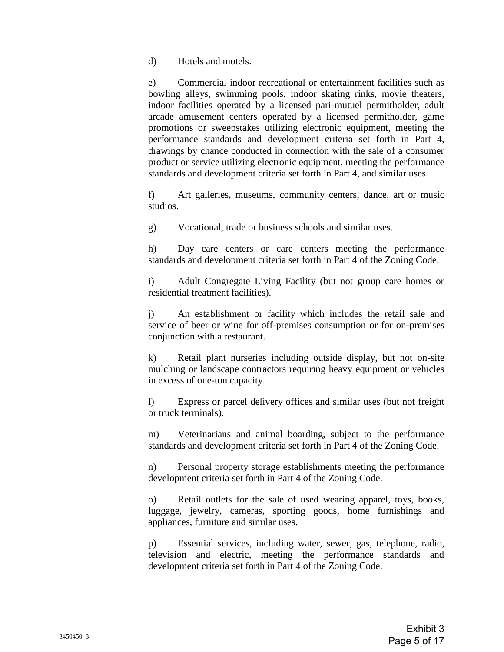d) Hotels and motels.

e) Commercial indoor recreational or entertainment facilities such as bowling alleys, swimming pools, indoor skating rinks, movie theaters, indoor facilities operated by a licensed pari-mutuel permitholder, adult arcade amusement centers operated by a licensed permitholder, game promotions or sweepstakes utilizing electronic equipment, meeting the performance standards and development criteria set forth in Part 4, drawings by chance conducted in connection with the sale of a consumer product or service utilizing electronic equipment, meeting the performance standards and development criteria set forth in Part 4, and similar uses.

f) Art galleries, museums, community centers, dance, art or music studios.

g) Vocational, trade or business schools and similar uses.

h) Day care centers or care centers meeting the performance standards and development criteria set forth in Part 4 of the Zoning Code.

i) Adult Congregate Living Facility (but not group care homes or residential treatment facilities).

j) An establishment or facility which includes the retail sale and service of beer or wine for off-premises consumption or for on-premises conjunction with a restaurant.

k) Retail plant nurseries including outside display, but not on-site mulching or landscape contractors requiring heavy equipment or vehicles in excess of one-ton capacity.

l) Express or parcel delivery offices and similar uses (but not freight or truck terminals).

m) Veterinarians and animal boarding, subject to the performance standards and development criteria set forth in Part 4 of the Zoning Code.

n) Personal property storage establishments meeting the performance development criteria set forth in Part 4 of the Zoning Code.

o) Retail outlets for the sale of used wearing apparel, toys, books, luggage, jewelry, cameras, sporting goods, home furnishings and appliances, furniture and similar uses.

p) Essential services, including water, sewer, gas, telephone, radio, television and electric, meeting the performance standards and development criteria set forth in Part 4 of the Zoning Code.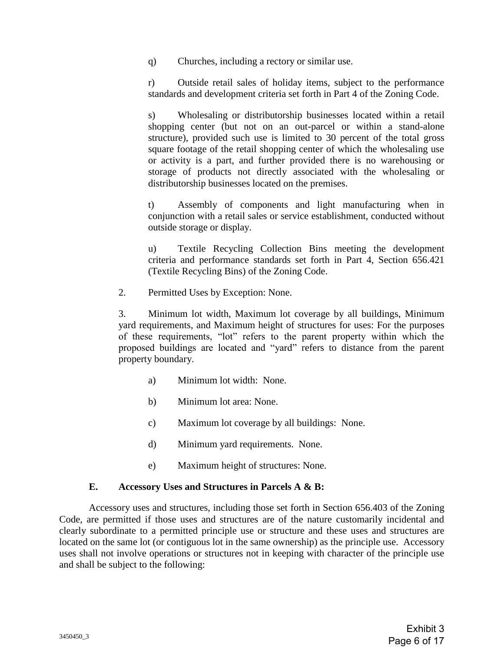q) Churches, including a rectory or similar use.

r) Outside retail sales of holiday items, subject to the performance standards and development criteria set forth in Part 4 of the Zoning Code.

s) Wholesaling or distributorship businesses located within a retail shopping center (but not on an out-parcel or within a stand-alone structure), provided such use is limited to 30 percent of the total gross square footage of the retail shopping center of which the wholesaling use or activity is a part, and further provided there is no warehousing or storage of products not directly associated with the wholesaling or distributorship businesses located on the premises.

t) Assembly of components and light manufacturing when in conjunction with a retail sales or service establishment, conducted without outside storage or display.

u) Textile Recycling Collection Bins meeting the development criteria and performance standards set forth in Part 4, Section 656.421 (Textile Recycling Bins) of the Zoning Code.

2. Permitted Uses by Exception: None.

3. Minimum lot width, Maximum lot coverage by all buildings, Minimum yard requirements, and Maximum height of structures for uses: For the purposes of these requirements, "lot" refers to the parent property within which the proposed buildings are located and "yard" refers to distance from the parent property boundary.

- a) Minimum lot width: None.
- b) Minimum lot area: None.
- c) Maximum lot coverage by all buildings: None.
- d) Minimum yard requirements. None.
- e) Maximum height of structures: None.

#### **E. Accessory Uses and Structures in Parcels A & B:**

Accessory uses and structures, including those set forth in Section 656.403 of the Zoning Code, are permitted if those uses and structures are of the nature customarily incidental and clearly subordinate to a permitted principle use or structure and these uses and structures are located on the same lot (or contiguous lot in the same ownership) as the principle use. Accessory uses shall not involve operations or structures not in keeping with character of the principle use and shall be subject to the following: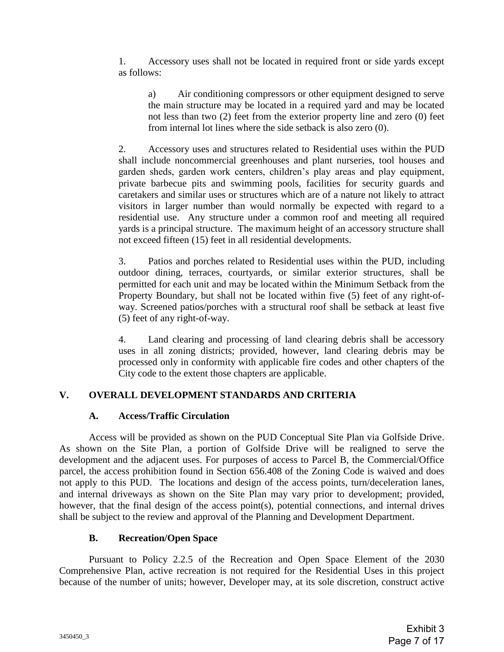1. Accessory uses shall not be located in required front or side yards except as follows:

a) Air conditioning compressors or other equipment designed to serve the main structure may be located in a required yard and may be located not less than two (2) feet from the exterior property line and zero (0) feet from internal lot lines where the side setback is also zero (0).

2. Accessory uses and structures related to Residential uses within the PUD shall include noncommercial greenhouses and plant nurseries, tool houses and garden sheds, garden work centers, children's play areas and play equipment, private barbecue pits and swimming pools, facilities for security guards and caretakers and similar uses or structures which are of a nature not likely to attract visitors in larger number than would normally be expected with regard to a residential use. Any structure under a common roof and meeting all required yards is a principal structure. The maximum height of an accessory structure shall not exceed fifteen (15) feet in all residential developments.

3. Patios and porches related to Residential uses within the PUD, including outdoor dining, terraces, courtyards, or similar exterior structures, shall be permitted for each unit and may be located within the Minimum Setback from the Property Boundary, but shall not be located within five (5) feet of any right-ofway. Screened patios/porches with a structural roof shall be setback at least five (5) feet of any right-of-way.

4. Land clearing and processing of land clearing debris shall be accessory uses in all zoning districts; provided, however, land clearing debris may be processed only in conformity with applicable fire codes and other chapters of the City code to the extent those chapters are applicable.

## **V. OVERALL DEVELOPMENT STANDARDS AND CRITERIA**

## **A. Access/Traffic Circulation**

Access will be provided as shown on the PUD Conceptual Site Plan via Golfside Drive. As shown on the Site Plan, a portion of Golfside Drive will be realigned to serve the development and the adjacent uses. For purposes of access to Parcel B, the Commercial/Office parcel, the access prohibition found in Section 656.408 of the Zoning Code is waived and does not apply to this PUD. The locations and design of the access points, turn/deceleration lanes, and internal driveways as shown on the Site Plan may vary prior to development; provided, however, that the final design of the access point(s), potential connections, and internal drives shall be subject to the review and approval of the Planning and Development Department.

## **B. Recreation/Open Space**

Pursuant to Policy 2.2.5 of the Recreation and Open Space Element of the 2030 Comprehensive Plan, active recreation is not required for the Residential Uses in this project because of the number of units; however, Developer may, at its sole discretion, construct active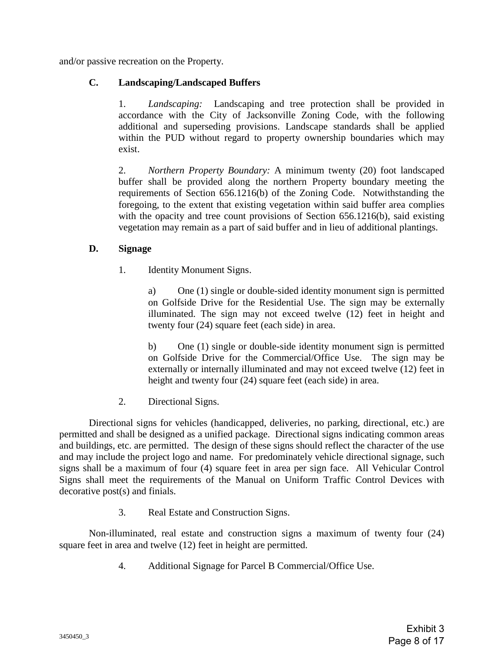and/or passive recreation on the Property.

## **C. Landscaping/Landscaped Buffers**

1. *Landscaping:* Landscaping and tree protection shall be provided in accordance with the City of Jacksonville Zoning Code, with the following additional and superseding provisions. Landscape standards shall be applied within the PUD without regard to property ownership boundaries which may exist.

2. *Northern Property Boundary:* A minimum twenty (20) foot landscaped buffer shall be provided along the northern Property boundary meeting the requirements of Section 656.1216(b) of the Zoning Code. Notwithstanding the foregoing, to the extent that existing vegetation within said buffer area complies with the opacity and tree count provisions of Section 656.1216(b), said existing vegetation may remain as a part of said buffer and in lieu of additional plantings.

## **D. Signage**

1. Identity Monument Signs.

a) One (1) single or double-sided identity monument sign is permitted on Golfside Drive for the Residential Use. The sign may be externally illuminated. The sign may not exceed twelve (12) feet in height and twenty four (24) square feet (each side) in area.

b) One (1) single or double-side identity monument sign is permitted on Golfside Drive for the Commercial/Office Use. The sign may be externally or internally illuminated and may not exceed twelve (12) feet in height and twenty four (24) square feet (each side) in area.

2. Directional Signs.

Directional signs for vehicles (handicapped, deliveries, no parking, directional, etc.) are permitted and shall be designed as a unified package. Directional signs indicating common areas and buildings, etc. are permitted. The design of these signs should reflect the character of the use and may include the project logo and name. For predominately vehicle directional signage, such signs shall be a maximum of four (4) square feet in area per sign face. All Vehicular Control Signs shall meet the requirements of the Manual on Uniform Traffic Control Devices with decorative post(s) and finials.

3. Real Estate and Construction Signs.

Non-illuminated, real estate and construction signs a maximum of twenty four (24) square feet in area and twelve (12) feet in height are permitted.

4. Additional Signage for Parcel B Commercial/Office Use.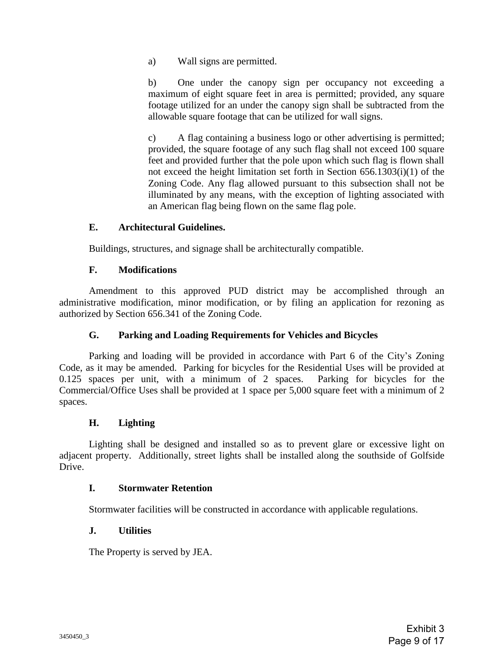a) Wall signs are permitted.

b) One under the canopy sign per occupancy not exceeding a maximum of eight square feet in area is permitted; provided, any square footage utilized for an under the canopy sign shall be subtracted from the allowable square footage that can be utilized for wall signs.

c) A flag containing a business logo or other advertising is permitted; provided, the square footage of any such flag shall not exceed 100 square feet and provided further that the pole upon which such flag is flown shall not exceed the height limitation set forth in Section 656.1303(i)(1) of the Zoning Code. Any flag allowed pursuant to this subsection shall not be illuminated by any means, with the exception of lighting associated with an American flag being flown on the same flag pole.

## **E. Architectural Guidelines.**

Buildings, structures, and signage shall be architecturally compatible.

## **F. Modifications**

Amendment to this approved PUD district may be accomplished through an administrative modification, minor modification, or by filing an application for rezoning as authorized by Section 656.341 of the Zoning Code.

## **G. Parking and Loading Requirements for Vehicles and Bicycles**

Parking and loading will be provided in accordance with Part 6 of the City's Zoning Code, as it may be amended. Parking for bicycles for the Residential Uses will be provided at 0.125 spaces per unit, with a minimum of 2 spaces. Parking for bicycles for the Commercial/Office Uses shall be provided at 1 space per 5,000 square feet with a minimum of 2 spaces.

## **H. Lighting**

Lighting shall be designed and installed so as to prevent glare or excessive light on adjacent property. Additionally, street lights shall be installed along the southside of Golfside Drive.

#### **I. Stormwater Retention**

Stormwater facilities will be constructed in accordance with applicable regulations.

#### **J. Utilities**

The Property is served by JEA.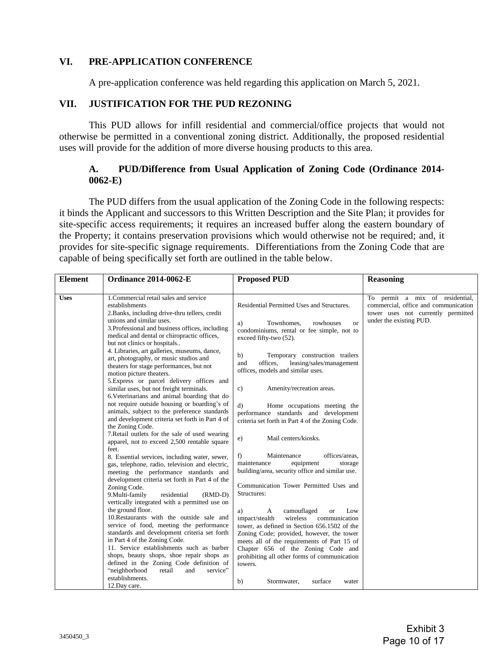#### **VI. PRE-APPLICATION CONFERENCE**

A pre-application conference was held regarding this application on March 5, 2021.

## **VII. JUSTIFICATION FOR THE PUD REZONING**

This PUD allows for infill residential and commercial/office projects that would not otherwise be permitted in a conventional zoning district. Additionally, the proposed residential uses will provide for the addition of more diverse housing products to this area.

## **A. PUD/Difference from Usual Application of Zoning Code (Ordinance 2014- 0062-E)**

The PUD differs from the usual application of the Zoning Code in the following respects: it binds the Applicant and successors to this Written Description and the Site Plan; it provides for site-specific access requirements; it requires an increased buffer along the eastern boundary of the Property; it contains preservation provisions which would otherwise not be required; and, it provides for site-specific signage requirements. Differentiations from the Zoning Code that are capable of being specifically set forth are outlined in the table below.

| <b>Element</b> | <b>Ordinance 2014-0062-E</b>                                                                                                                                                                                                                                                                                                                                                                                                                                                                                                                                                                                                                                                                                                                                                                                                                                        | <b>Proposed PUD</b>                                                                                                                                                                                                                                                                                                                                                                                                                                                                                                                                                                                     | <b>Reasoning</b>                                                                                                                         |
|----------------|---------------------------------------------------------------------------------------------------------------------------------------------------------------------------------------------------------------------------------------------------------------------------------------------------------------------------------------------------------------------------------------------------------------------------------------------------------------------------------------------------------------------------------------------------------------------------------------------------------------------------------------------------------------------------------------------------------------------------------------------------------------------------------------------------------------------------------------------------------------------|---------------------------------------------------------------------------------------------------------------------------------------------------------------------------------------------------------------------------------------------------------------------------------------------------------------------------------------------------------------------------------------------------------------------------------------------------------------------------------------------------------------------------------------------------------------------------------------------------------|------------------------------------------------------------------------------------------------------------------------------------------|
| <b>Uses</b>    | 1. Commercial retail sales and service<br>establishments<br>2. Banks, including drive-thru tellers, credit<br>unions and similar uses.<br>3. Professional and business offices, including<br>medical and dental or chiropractic offices,<br>but not clinics or hospitals<br>4. Libraries, art galleries, museums, dance,<br>art, photography, or music studios and<br>theaters for stage performances, but not<br>motion picture theaters.<br>5. Express or parcel delivery offices and<br>similar uses, but not freight terminals.<br>6. Veterinarians and animal boarding that do<br>not require outside housing or boarding's of<br>animals, subject to the preference standards<br>and development criteria set forth in Part 4 of                                                                                                                              | Residential Permitted Uses and Structures.<br>Townhomes,<br>rowhouses<br>a)<br><b>or</b><br>condominiums, rental or fee simple, not to<br>exceed fifty-two (52).<br>Temporary construction trailers<br>b)<br>offices.<br>leasing/sales/management<br>and<br>offices, models and similar uses.<br>Amenity/recreation areas.<br>$\mathbf{c}$<br>Home occupations meeting the<br>d)<br>performance standards and development<br>criteria set forth in Part 4 of the Zoning Code.                                                                                                                           | To permit a mix of residential,<br>commercial, office and communication<br>tower uses not currently permitted<br>under the existing PUD. |
|                | the Zoning Code.<br>7. Retail outlets for the sale of used wearing<br>apparel, not to exceed 2,500 rentable square<br>feet.<br>8. Essential services, including water, sewer,<br>gas, telephone, radio, television and electric,<br>meeting the performance standards and<br>development criteria set forth in Part 4 of the<br>Zoning Code.<br>9. Multi-family<br>residential<br>$(RMD-D)$<br>vertically integrated with a permitted use on<br>the ground floor.<br>10. Restaurants with the outside sale and<br>service of food, meeting the performance<br>standards and development criteria set forth<br>in Part 4 of the Zoning Code.<br>11. Service establishments such as barber<br>shops, beauty shops, shoe repair shops as<br>defined in the Zoning Code definition of<br>"neighborhood<br>retail<br>service"<br>and<br>establishments.<br>12. Day care. | Mail centers/kiosks.<br>e)<br>f)<br>Maintenance<br>offices/areas,<br>maintenance<br>equipment<br>storage<br>building/area, security office and similar use.<br>Communication Tower Permitted Uses and<br>Structures:<br>camouflaged<br>a)<br>A<br>Low<br><b>or</b><br>impact/stealth<br>wireless<br>communication<br>tower, as defined in Section 656.1502 of the<br>Zoning Code; provided, however, the tower<br>meets all of the requirements of Part 15 of<br>Chapter 656 of the Zoning Code and<br>prohibiting all other forms of communication<br>towers.<br>surface<br>b)<br>Stormwater,<br>water |                                                                                                                                          |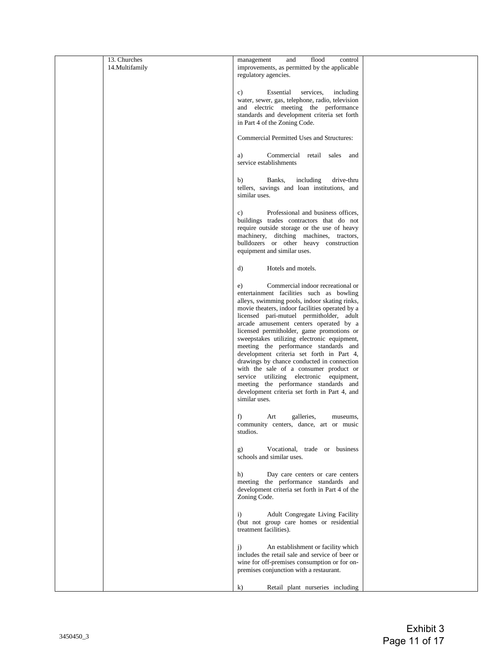| 13. Churches<br>14.Multifamily | flood<br>management<br>and<br>control<br>improvements, as permitted by the applicable<br>regulatory agencies.                                                                                                                                                                                                                                                                                                                                                                                                                                                                                                                                                                                                 |  |
|--------------------------------|---------------------------------------------------------------------------------------------------------------------------------------------------------------------------------------------------------------------------------------------------------------------------------------------------------------------------------------------------------------------------------------------------------------------------------------------------------------------------------------------------------------------------------------------------------------------------------------------------------------------------------------------------------------------------------------------------------------|--|
|                                | services,<br>c)<br>Essential<br>including<br>water, sewer, gas, telephone, radio, television<br>and electric meeting the performance<br>standards and development criteria set forth<br>in Part 4 of the Zoning Code.                                                                                                                                                                                                                                                                                                                                                                                                                                                                                         |  |
|                                | Commercial Permitted Uses and Structures:                                                                                                                                                                                                                                                                                                                                                                                                                                                                                                                                                                                                                                                                     |  |
|                                | Commercial retail sales and<br>a)<br>service establishments                                                                                                                                                                                                                                                                                                                                                                                                                                                                                                                                                                                                                                                   |  |
|                                | b)<br>Banks,<br>including<br>drive-thru<br>tellers, savings and loan institutions, and<br>similar uses.                                                                                                                                                                                                                                                                                                                                                                                                                                                                                                                                                                                                       |  |
|                                | Professional and business offices,<br>c)<br>buildings trades contractors that do not<br>require outside storage or the use of heavy<br>machinery, ditching machines, tractors,<br>bulldozers or other heavy construction<br>equipment and similar uses.                                                                                                                                                                                                                                                                                                                                                                                                                                                       |  |
|                                | Hotels and motels.<br>d)                                                                                                                                                                                                                                                                                                                                                                                                                                                                                                                                                                                                                                                                                      |  |
|                                | Commercial indoor recreational or<br>e)<br>entertainment facilities such as bowling<br>alleys, swimming pools, indoor skating rinks,<br>movie theaters, indoor facilities operated by a<br>licensed pari-mutuel permitholder, adult<br>arcade amusement centers operated by a<br>licensed permitholder, game promotions or<br>sweepstakes utilizing electronic equipment,<br>meeting the performance standards and<br>development criteria set forth in Part 4,<br>drawings by chance conducted in connection<br>with the sale of a consumer product or<br>service utilizing electronic equipment,<br>meeting the performance standards and<br>development criteria set forth in Part 4, and<br>similar uses. |  |
|                                | f)<br>galleries,<br>Art<br>museums,<br>community centers, dance, art or music<br>studios.                                                                                                                                                                                                                                                                                                                                                                                                                                                                                                                                                                                                                     |  |
|                                | Vocational, trade or business<br>g)<br>schools and similar uses.                                                                                                                                                                                                                                                                                                                                                                                                                                                                                                                                                                                                                                              |  |
|                                | Day care centers or care centers<br>h)<br>meeting the performance standards and<br>development criteria set forth in Part 4 of the<br>Zoning Code.                                                                                                                                                                                                                                                                                                                                                                                                                                                                                                                                                            |  |
|                                | Adult Congregate Living Facility<br>$\mathbf{i}$<br>(but not group care homes or residential<br>treatment facilities).                                                                                                                                                                                                                                                                                                                                                                                                                                                                                                                                                                                        |  |
|                                | An establishment or facility which<br>$\mathbf{j}$<br>includes the retail sale and service of beer or<br>wine for off-premises consumption or for on-<br>premises conjunction with a restaurant.                                                                                                                                                                                                                                                                                                                                                                                                                                                                                                              |  |
|                                | Retail plant nurseries including<br>$\bf{k}$                                                                                                                                                                                                                                                                                                                                                                                                                                                                                                                                                                                                                                                                  |  |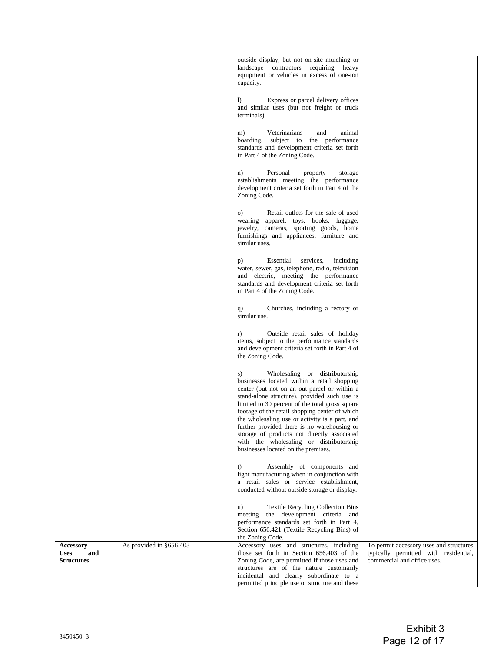|                                                             |                         | outside display, but not on-site mulching or<br>landscape contractors requiring<br>heavy<br>equipment or vehicles in excess of one-ton<br>capacity.                                                                                                                                                                                                                                                                                                                                                                        |                                                                                                                 |
|-------------------------------------------------------------|-------------------------|----------------------------------------------------------------------------------------------------------------------------------------------------------------------------------------------------------------------------------------------------------------------------------------------------------------------------------------------------------------------------------------------------------------------------------------------------------------------------------------------------------------------------|-----------------------------------------------------------------------------------------------------------------|
|                                                             |                         | Express or parcel delivery offices<br>$\bf{D}$<br>and similar uses (but not freight or truck<br>terminals).                                                                                                                                                                                                                                                                                                                                                                                                                |                                                                                                                 |
|                                                             |                         | Veterinarians<br>animal<br>and<br>m)<br>boarding, subject to the performance<br>standards and development criteria set forth<br>in Part 4 of the Zoning Code.                                                                                                                                                                                                                                                                                                                                                              |                                                                                                                 |
|                                                             |                         | Personal<br>n)<br>property<br>storage<br>establishments meeting the performance<br>development criteria set forth in Part 4 of the<br>Zoning Code.                                                                                                                                                                                                                                                                                                                                                                         |                                                                                                                 |
|                                                             |                         | Retail outlets for the sale of used<br>O)<br>wearing apparel, toys, books, luggage,<br>jewelry, cameras, sporting goods, home<br>furnishings and appliances, furniture and<br>similar uses.                                                                                                                                                                                                                                                                                                                                |                                                                                                                 |
|                                                             |                         | Essential<br>services,<br>including<br>p)<br>water, sewer, gas, telephone, radio, television<br>and electric, meeting the performance<br>standards and development criteria set forth<br>in Part 4 of the Zoning Code.                                                                                                                                                                                                                                                                                                     |                                                                                                                 |
|                                                             |                         | Churches, including a rectory or<br>q)<br>similar use.                                                                                                                                                                                                                                                                                                                                                                                                                                                                     |                                                                                                                 |
|                                                             |                         | Outside retail sales of holiday<br>r)<br>items, subject to the performance standards<br>and development criteria set forth in Part 4 of<br>the Zoning Code.                                                                                                                                                                                                                                                                                                                                                                |                                                                                                                 |
|                                                             |                         | Wholesaling or distributorship<br>S)<br>businesses located within a retail shopping<br>center (but not on an out-parcel or within a<br>stand-alone structure), provided such use is<br>limited to 30 percent of the total gross square<br>footage of the retail shopping center of which<br>the wholesaling use or activity is a part, and<br>further provided there is no warehousing or<br>storage of products not directly associated<br>with the wholesaling or distributorship<br>businesses located on the premises. |                                                                                                                 |
|                                                             |                         | t)<br>Assembly of components and<br>light manufacturing when in conjunction with<br>a retail sales or service establishment,<br>conducted without outside storage or display.                                                                                                                                                                                                                                                                                                                                              |                                                                                                                 |
|                                                             |                         | Textile Recycling Collection Bins<br>u)<br>the development criteria and<br>meeting<br>performance standards set forth in Part 4,<br>Section 656.421 (Textile Recycling Bins) of<br>the Zoning Code.                                                                                                                                                                                                                                                                                                                        |                                                                                                                 |
| <b>Accessory</b><br><b>Uses</b><br>and<br><b>Structures</b> | As provided in §656.403 | Accessory uses and structures, including<br>those set forth in Section 656.403 of the<br>Zoning Code, are permitted if those uses and<br>structures are of the nature customarily<br>incidental and clearly subordinate to a<br>permitted principle use or structure and these                                                                                                                                                                                                                                             | To permit accessory uses and structures<br>typically permitted with residential,<br>commercial and office uses. |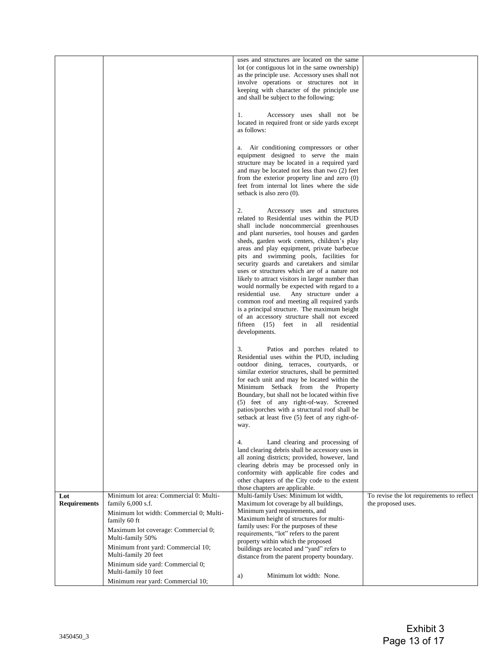|                            |                                                                                | uses and structures are located on the same<br>lot (or contiguous lot in the same ownership)<br>as the principle use. Accessory uses shall not<br>involve operations or structures not in<br>keeping with character of the principle use<br>and shall be subject to the following:                                                                                                                                                                                                                                                                                                                                                                                                                                                                                  |                                                                 |
|----------------------------|--------------------------------------------------------------------------------|---------------------------------------------------------------------------------------------------------------------------------------------------------------------------------------------------------------------------------------------------------------------------------------------------------------------------------------------------------------------------------------------------------------------------------------------------------------------------------------------------------------------------------------------------------------------------------------------------------------------------------------------------------------------------------------------------------------------------------------------------------------------|-----------------------------------------------------------------|
|                            |                                                                                | 1.<br>Accessory uses shall not be<br>located in required front or side yards except<br>as follows:                                                                                                                                                                                                                                                                                                                                                                                                                                                                                                                                                                                                                                                                  |                                                                 |
|                            |                                                                                | Air conditioning compressors or other<br>equipment designed to serve the main<br>structure may be located in a required yard<br>and may be located not less than two (2) feet<br>from the exterior property line and zero $(0)$<br>feet from internal lot lines where the side<br>setback is also zero (0).                                                                                                                                                                                                                                                                                                                                                                                                                                                         |                                                                 |
|                            |                                                                                | 2.<br>Accessory uses and structures<br>related to Residential uses within the PUD<br>shall include noncommercial greenhouses<br>and plant nurseries, tool houses and garden<br>sheds, garden work centers, children's play<br>areas and play equipment, private barbecue<br>pits and swimming pools, facilities for<br>security guards and caretakers and similar<br>uses or structures which are of a nature not<br>likely to attract visitors in larger number than<br>would normally be expected with regard to a<br>residential use. Any structure under a<br>common roof and meeting all required yards<br>is a principal structure. The maximum height<br>of an accessory structure shall not exceed<br>fifteen (15) feet in all residential<br>developments. |                                                                 |
|                            |                                                                                | 3.<br>Patios and porches related to<br>Residential uses within the PUD, including<br>outdoor dining, terraces, courtyards, or<br>similar exterior structures, shall be permitted<br>for each unit and may be located within the<br>Minimum Setback from the Property<br>Boundary, but shall not be located within five<br>(5) feet of any right-of-way. Screened<br>patios/porches with a structural roof shall be<br>setback at least five (5) feet of any right-of-<br>way.                                                                                                                                                                                                                                                                                       |                                                                 |
|                            |                                                                                | 4.<br>Land clearing and processing of<br>land clearing debris shall be accessory uses in<br>all zoning districts; provided, however, land<br>clearing debris may be processed only in<br>conformity with applicable fire codes and<br>other chapters of the City code to the extent<br>those chapters are applicable.                                                                                                                                                                                                                                                                                                                                                                                                                                               |                                                                 |
| Lot<br><b>Requirements</b> | Minimum lot area: Commercial 0: Multi-<br>family 6,000 s.f.                    | Multi-family Uses: Minimum lot width,<br>Maximum lot coverage by all buildings,                                                                                                                                                                                                                                                                                                                                                                                                                                                                                                                                                                                                                                                                                     | To revise the lot requirements to reflect<br>the proposed uses. |
|                            | Minimum lot width: Commercial 0; Multi-<br>family 60 ft                        | Minimum yard requirements, and<br>Maximum height of structures for multi-                                                                                                                                                                                                                                                                                                                                                                                                                                                                                                                                                                                                                                                                                           |                                                                 |
|                            | Maximum lot coverage: Commercial 0;                                            | family uses: For the purposes of these<br>requirements, "lot" refers to the parent                                                                                                                                                                                                                                                                                                                                                                                                                                                                                                                                                                                                                                                                                  |                                                                 |
|                            | Multi-family 50%<br>Minimum front yard: Commercial 10;<br>Multi-family 20 feet | property within which the proposed<br>buildings are located and "yard" refers to                                                                                                                                                                                                                                                                                                                                                                                                                                                                                                                                                                                                                                                                                    |                                                                 |
|                            | Minimum side yard: Commercial 0;<br>Multi-family 10 feet                       | distance from the parent property boundary.                                                                                                                                                                                                                                                                                                                                                                                                                                                                                                                                                                                                                                                                                                                         |                                                                 |
|                            | Minimum rear yard: Commercial 10;                                              | Minimum lot width: None.<br>a)                                                                                                                                                                                                                                                                                                                                                                                                                                                                                                                                                                                                                                                                                                                                      |                                                                 |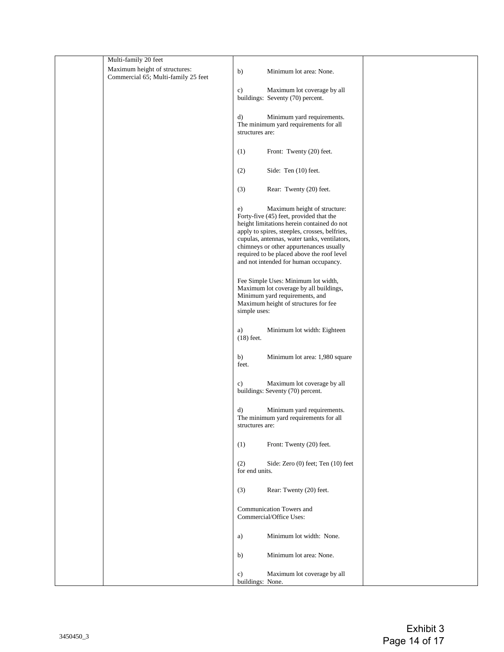| Multi-family 20 feet                |                                                                                                                                                                                                                                                                                                                                                                |  |
|-------------------------------------|----------------------------------------------------------------------------------------------------------------------------------------------------------------------------------------------------------------------------------------------------------------------------------------------------------------------------------------------------------------|--|
| Maximum height of structures:       | Minimum lot area: None.<br>b)                                                                                                                                                                                                                                                                                                                                  |  |
| Commercial 65; Multi-family 25 feet |                                                                                                                                                                                                                                                                                                                                                                |  |
|                                     | c)<br>Maximum lot coverage by all<br>buildings: Seventy (70) percent.                                                                                                                                                                                                                                                                                          |  |
|                                     | $\mathbf{d}$<br>Minimum yard requirements.<br>The minimum yard requirements for all<br>structures are:                                                                                                                                                                                                                                                         |  |
|                                     | Front: Twenty (20) feet.<br>(1)                                                                                                                                                                                                                                                                                                                                |  |
|                                     | (2)<br>Side: Ten (10) feet.                                                                                                                                                                                                                                                                                                                                    |  |
|                                     | Rear: Twenty (20) feet.<br>(3)                                                                                                                                                                                                                                                                                                                                 |  |
|                                     | Maximum height of structure:<br>e)<br>Forty-five (45) feet, provided that the<br>height limitations herein contained do not<br>apply to spires, steeples, crosses, belfries,<br>cupulas, antennas, water tanks, ventilators,<br>chimneys or other appurtenances usually<br>required to be placed above the roof level<br>and not intended for human occupancy. |  |
|                                     | Fee Simple Uses: Minimum lot width,<br>Maximum lot coverage by all buildings,<br>Minimum yard requirements, and<br>Maximum height of structures for fee<br>simple uses:                                                                                                                                                                                        |  |
|                                     | Minimum lot width: Eighteen<br>a)<br>$(18)$ feet.                                                                                                                                                                                                                                                                                                              |  |
|                                     | b)<br>Minimum lot area: 1,980 square<br>feet.                                                                                                                                                                                                                                                                                                                  |  |
|                                     | Maximum lot coverage by all<br>c)<br>buildings: Seventy (70) percent.                                                                                                                                                                                                                                                                                          |  |
|                                     | Minimum yard requirements.<br>d)<br>The minimum yard requirements for all<br>structures are:                                                                                                                                                                                                                                                                   |  |
|                                     | Front: Twenty (20) feet.<br>(1)                                                                                                                                                                                                                                                                                                                                |  |
|                                     | (2)<br>Side: Zero (0) feet; Ten (10) feet<br>for end units.                                                                                                                                                                                                                                                                                                    |  |
|                                     | Rear: Twenty (20) feet.<br>(3)                                                                                                                                                                                                                                                                                                                                 |  |
|                                     | Communication Towers and<br>Commercial/Office Uses:                                                                                                                                                                                                                                                                                                            |  |
|                                     | Minimum lot width: None.<br>a)                                                                                                                                                                                                                                                                                                                                 |  |
|                                     | Minimum lot area: None.<br>b)                                                                                                                                                                                                                                                                                                                                  |  |
|                                     | Maximum lot coverage by all<br>c)<br>buildings: None.                                                                                                                                                                                                                                                                                                          |  |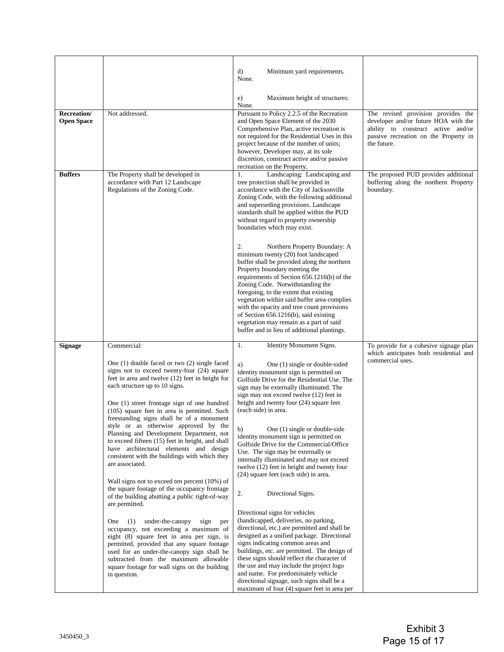|                                         |                                                                                                                                                                                                                                                                                                                                                                                                                                                                                                                                                                                                                                                                                                                                                                                                                                                                                                                                                                                                                                                                                                             | d)<br>Minimum yard requirements.<br>None.                                                                                                                                                                                                                                                                                                                                                                                                                                                                                                                                                                                                                                                                                                                                                                                                                                                                                                                                                                                                                                                                               |                                                                                                                                                                          |
|-----------------------------------------|-------------------------------------------------------------------------------------------------------------------------------------------------------------------------------------------------------------------------------------------------------------------------------------------------------------------------------------------------------------------------------------------------------------------------------------------------------------------------------------------------------------------------------------------------------------------------------------------------------------------------------------------------------------------------------------------------------------------------------------------------------------------------------------------------------------------------------------------------------------------------------------------------------------------------------------------------------------------------------------------------------------------------------------------------------------------------------------------------------------|-------------------------------------------------------------------------------------------------------------------------------------------------------------------------------------------------------------------------------------------------------------------------------------------------------------------------------------------------------------------------------------------------------------------------------------------------------------------------------------------------------------------------------------------------------------------------------------------------------------------------------------------------------------------------------------------------------------------------------------------------------------------------------------------------------------------------------------------------------------------------------------------------------------------------------------------------------------------------------------------------------------------------------------------------------------------------------------------------------------------------|--------------------------------------------------------------------------------------------------------------------------------------------------------------------------|
|                                         |                                                                                                                                                                                                                                                                                                                                                                                                                                                                                                                                                                                                                                                                                                                                                                                                                                                                                                                                                                                                                                                                                                             | Maximum height of structures:<br>e)<br>None.                                                                                                                                                                                                                                                                                                                                                                                                                                                                                                                                                                                                                                                                                                                                                                                                                                                                                                                                                                                                                                                                            |                                                                                                                                                                          |
| <b>Recreation/</b><br><b>Open Space</b> | Not addressed.                                                                                                                                                                                                                                                                                                                                                                                                                                                                                                                                                                                                                                                                                                                                                                                                                                                                                                                                                                                                                                                                                              | Pursuant to Policy 2.2.5 of the Recreation<br>and Open Space Element of the 2030<br>Comprehensive Plan, active recreation is<br>not required for the Residential Uses in this<br>project because of the number of units;<br>however, Developer may, at its sole<br>discretion, construct active and/or passive<br>recreation on the Property.                                                                                                                                                                                                                                                                                                                                                                                                                                                                                                                                                                                                                                                                                                                                                                           | The revised provision provides the<br>developer and/or future HOA with the<br>ability to construct active and/or<br>passive recreation on the Property in<br>the future. |
| <b>Buffers</b>                          | The Property shall be developed in<br>accordance with Part 12 Landscape<br>Regulations of the Zoning Code.                                                                                                                                                                                                                                                                                                                                                                                                                                                                                                                                                                                                                                                                                                                                                                                                                                                                                                                                                                                                  | Landscaping: Landscaping and<br>1.<br>tree protection shall be provided in<br>accordance with the City of Jacksonville<br>Zoning Code, with the following additional<br>and superseding provisions. Landscape<br>standards shall be applied within the PUD<br>without regard to property ownership<br>boundaries which may exist.<br>2.<br>Northern Property Boundary: A<br>minimum twenty (20) foot landscaped<br>buffer shall be provided along the northern<br>Property boundary meeting the<br>requirements of Section 656.1216(b) of the<br>Zoning Code. Notwithstanding the<br>foregoing, to the extent that existing<br>vegetation within said buffer area complies<br>with the opacity and tree count provisions<br>of Section 656.1216(b), said existing<br>vegetation may remain as a part of said<br>buffer and in lieu of additional plantings.                                                                                                                                                                                                                                                             | The proposed PUD provides additional<br>buffering along the northern Property<br>boundary.                                                                               |
| <b>Signage</b>                          | Commercial:                                                                                                                                                                                                                                                                                                                                                                                                                                                                                                                                                                                                                                                                                                                                                                                                                                                                                                                                                                                                                                                                                                 | Identity Monument Signs.<br>1.                                                                                                                                                                                                                                                                                                                                                                                                                                                                                                                                                                                                                                                                                                                                                                                                                                                                                                                                                                                                                                                                                          | To provide for a cohesive signage plan<br>which anticipates both residential and                                                                                         |
|                                         | One $(1)$ double faced or two $(2)$ single faced<br>signs not to exceed twenty-four (24) square<br>feet in area and twelve (12) feet in height for<br>each structure up to 10 signs.<br>One (1) street frontage sign of one hundred<br>(105) square feet in area is permitted. Such<br>freestanding signs shall be of a monument<br>style or as otherwise approved by the<br>Planning and Development Department, not<br>to exceed fifteen (15) feet in height, and shall<br>have architectural elements and design<br>consistent with the buildings with which they<br>are associated.<br>Wall signs not to exceed ten percent (10%) of<br>the square footage of the occupancy frontage<br>of the building abutting a public right-of-way<br>are permitted.<br>under-the-canopy<br>(1)<br>sign<br>One<br>per<br>occupancy, not exceeding a maximum of<br>eight (8) square feet in area per sign, is<br>permitted, provided that any square footage<br>used for an under-the-canopy sign shall be<br>subtracted from the maximum allowable<br>square footage for wall signs on the building<br>in question. | a)<br>One (1) single or double-sided<br>identity monument sign is permitted on<br>Golfside Drive for the Residential Use. The<br>sign may be externally illuminated. The<br>sign may not exceed twelve (12) feet in<br>height and twenty four (24) square feet<br>(each side) in area.<br>One (1) single or double-side<br>b)<br>identity monument sign is permitted on<br>Golfside Drive for the Commercial/Office<br>Use. The sign may be externally or<br>internally illuminated and may not exceed<br>twelve (12) feet in height and twenty four<br>(24) square feet (each side) in area.<br>2.<br>Directional Signs.<br>Directional signs for vehicles<br>(handicapped, deliveries, no parking,<br>directional, etc.) are permitted and shall be<br>designed as a unified package. Directional<br>signs indicating common areas and<br>buildings, etc. are permitted. The design of<br>these signs should reflect the character of<br>the use and may include the project logo<br>and name. For predominately vehicle<br>directional signage, such signs shall be a<br>maximum of four (4) square feet in area per | commercial uses.                                                                                                                                                         |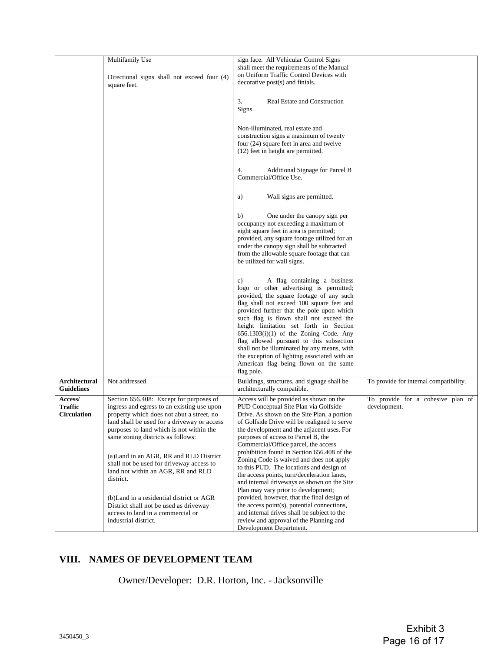|                                          | Multifamily Use<br>Directional signs shall not exceed four (4)<br>square feet.                                                                                                                                                                                                                                                                                                                               | sign face. All Vehicular Control Signs<br>shall meet the requirements of the Manual<br>on Uniform Traffic Control Devices with<br>decorative post(s) and finials.                                                                                                                                                                                                                                                                                                                                                                                      |                                                   |
|------------------------------------------|--------------------------------------------------------------------------------------------------------------------------------------------------------------------------------------------------------------------------------------------------------------------------------------------------------------------------------------------------------------------------------------------------------------|--------------------------------------------------------------------------------------------------------------------------------------------------------------------------------------------------------------------------------------------------------------------------------------------------------------------------------------------------------------------------------------------------------------------------------------------------------------------------------------------------------------------------------------------------------|---------------------------------------------------|
|                                          |                                                                                                                                                                                                                                                                                                                                                                                                              | 3.<br>Real Estate and Construction<br>Signs.                                                                                                                                                                                                                                                                                                                                                                                                                                                                                                           |                                                   |
|                                          |                                                                                                                                                                                                                                                                                                                                                                                                              | Non-illuminated, real estate and<br>construction signs a maximum of twenty<br>four (24) square feet in area and twelve<br>(12) feet in height are permitted.                                                                                                                                                                                                                                                                                                                                                                                           |                                                   |
|                                          |                                                                                                                                                                                                                                                                                                                                                                                                              | Additional Signage for Parcel B<br>4.<br>Commercial/Office Use.                                                                                                                                                                                                                                                                                                                                                                                                                                                                                        |                                                   |
|                                          |                                                                                                                                                                                                                                                                                                                                                                                                              | Wall signs are permitted.<br>a)                                                                                                                                                                                                                                                                                                                                                                                                                                                                                                                        |                                                   |
|                                          |                                                                                                                                                                                                                                                                                                                                                                                                              | b)<br>One under the canopy sign per<br>occupancy not exceeding a maximum of<br>eight square feet in area is permitted;<br>provided, any square footage utilized for an<br>under the canopy sign shall be subtracted<br>from the allowable square footage that can<br>be utilized for wall signs.                                                                                                                                                                                                                                                       |                                                   |
|                                          |                                                                                                                                                                                                                                                                                                                                                                                                              | A flag containing a business<br>c)<br>logo or other advertising is permitted;<br>provided, the square footage of any such<br>flag shall not exceed 100 square feet and<br>provided further that the pole upon which<br>such flag is flown shall not exceed the<br>height limitation set forth in Section<br>$656.1303(i)(1)$ of the Zoning Code. Any<br>flag allowed pursuant to this subsection<br>shall not be illuminated by any means, with<br>the exception of lighting associated with an<br>American flag being flown on the same<br>flag pole. |                                                   |
| Architectural<br><b>Guidelines</b>       | Not addressed.                                                                                                                                                                                                                                                                                                                                                                                               | Buildings, structures, and signage shall be<br>architecturally compatible.                                                                                                                                                                                                                                                                                                                                                                                                                                                                             | To provide for internal compatibility.            |
| Access/<br>Traffic<br><b>Circulation</b> | Section 656.408: Except for purposes of<br>ingress and egress to an existing use upon<br>property which does not abut a street, no<br>land shall be used for a driveway or access<br>purposes to land which is not within the<br>same zoning districts as follows:<br>(a) Land in an AGR, RR and RLD District<br>shall not be used for driveway access to<br>land not within an AGR, RR and RLD<br>district. | Access will be provided as shown on the<br>PUD Conceptual Site Plan via Golfside<br>Drive. As shown on the Site Plan, a portion<br>of Golfside Drive will be realigned to serve<br>the development and the adjacent uses. For<br>purposes of access to Parcel B, the<br>Commercial/Office parcel, the access<br>prohibition found in Section 656.408 of the<br>Zoning Code is waived and does not apply<br>to this PUD. The locations and design of<br>the access points, turn/deceleration lanes,<br>and internal driveways as shown on the Site      | To provide for a cohesive plan of<br>development. |
|                                          | (b) Land in a residential district or AGR<br>District shall not be used as driveway<br>access to land in a commercial or<br>industrial district.                                                                                                                                                                                                                                                             | Plan may vary prior to development;<br>provided, however, that the final design of<br>the access point(s), potential connections,<br>and internal drives shall be subject to the<br>review and approval of the Planning and<br>Development Department.                                                                                                                                                                                                                                                                                                 |                                                   |

# **VIII. NAMES OF DEVELOPMENT TEAM**

Owner/Developer: D.R. Horton, Inc. - Jacksonville